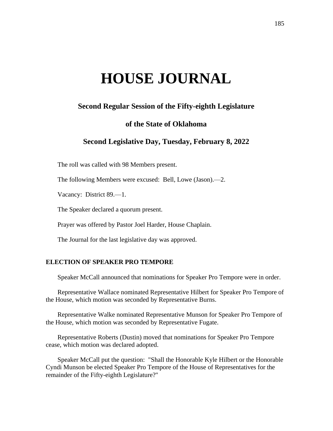# **HOUSE JOURNAL**

### **Second Regular Session of the Fifty-eighth Legislature**

## **of the State of Oklahoma**

# **Second Legislative Day, Tuesday, February 8, 2022**

The roll was called with 98 Members present.

The following Members were excused: Bell, Lowe (Jason).—2.

Vacancy: District 89.—1.

The Speaker declared a quorum present.

Prayer was offered by Pastor Joel Harder, House Chaplain.

The Journal for the last legislative day was approved.

#### **ELECTION OF SPEAKER PRO TEMPORE**

Speaker McCall announced that nominations for Speaker Pro Tempore were in order.

Representative Wallace nominated Representative Hilbert for Speaker Pro Tempore of the House, which motion was seconded by Representative Burns.

Representative Walke nominated Representative Munson for Speaker Pro Tempore of the House, which motion was seconded by Representative Fugate.

Representative Roberts (Dustin) moved that nominations for Speaker Pro Tempore cease, which motion was declared adopted.

Speaker McCall put the question: "Shall the Honorable Kyle Hilbert or the Honorable Cyndi Munson be elected Speaker Pro Tempore of the House of Representatives for the remainder of the Fifty-eighth Legislature?"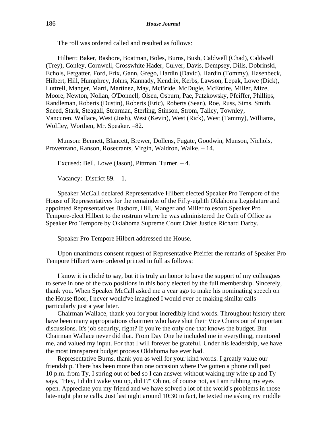The roll was ordered called and resulted as follows:

Hilbert: Baker, Bashore, Boatman, Boles, Burns, Bush, Caldwell (Chad), Caldwell (Trey), Conley, Cornwell, Crosswhite Hader, Culver, Davis, Dempsey, Dills, Dobrinski, Echols, Fetgatter, Ford, Frix, Gann, Grego, Hardin (David), Hardin (Tommy), Hasenbeck, Hilbert, Hill, Humphrey, Johns, Kannady, Kendrix, Kerbs, Lawson, Lepak, Lowe (Dick), Luttrell, Manger, Marti, Martinez, May, McBride, McDugle, McEntire, Miller, Mize, Moore, Newton, Nollan, O'Donnell, Olsen, Osburn, Pae, Patzkowsky, Pfeiffer, Phillips, Randleman, Roberts (Dustin), Roberts (Eric), Roberts (Sean), Roe, Russ, Sims, Smith, Sneed, Stark, Steagall, Stearman, Sterling, Stinson, Strom, Talley, Townley, Vancuren, Wallace, West (Josh), West (Kevin), West (Rick), West (Tammy), Williams, Wolfley, Worthen, Mr. Speaker. –82.

Munson: Bennett, Blancett, Brewer, Dollens, Fugate, Goodwin, Munson, Nichols, Provenzano, Ranson, Rosecrants, Virgin, Waldron, Walke. – 14.

Excused: Bell, Lowe (Jason), Pittman, Turner. – 4.

Vacancy: District 89.—1.

Speaker McCall declared Representative Hilbert elected Speaker Pro Tempore of the House of Representatives for the remainder of the Fifty-eighth Oklahoma Legislature and appointed Representatives Bashore, Hill, Manger and Miller to escort Speaker Pro Tempore-elect Hilbert to the rostrum where he was administered the Oath of Office as Speaker Pro Tempore by Oklahoma Supreme Court Chief Justice Richard Darby.

Speaker Pro Tempore Hilbert addressed the House.

Upon unanimous consent request of Representative Pfeiffer the remarks of Speaker Pro Tempore Hilbert were ordered printed in full as follows:

I know it is cliché to say, but it is truly an honor to have the support of my colleagues to serve in one of the two positions in this body elected by the full membership. Sincerely, thank you. When Speaker McCall asked me a year ago to make his nominating speech on the House floor, I never would've imagined I would ever be making similar calls – particularly just a year later.

Chairman Wallace, thank you for your incredibly kind words. Throughout history there have been many appropriations chairmen who have shut their Vice Chairs out of important discussions. It's job security, right? If you're the only one that knows the budget. But Chairman Wallace never did that. From Day One he included me in everything, mentored me, and valued my input. For that I will forever be grateful. Under his leadership, we have the most transparent budget process Oklahoma has ever had.

Representative Burns, thank you as well for your kind words. I greatly value our friendship. There has been more than one occasion where I've gotten a phone call past 10 p.m. from Ty, I spring out of bed so I can answer without waking my wife up and Ty says, "Hey, I didn't wake you up, did I?" Oh no, of course not, as I am rubbing my eyes open. Appreciate you my friend and we have solved a lot of the world's problems in those late-night phone calls. Just last night around 10:30 in fact, he texted me asking my middle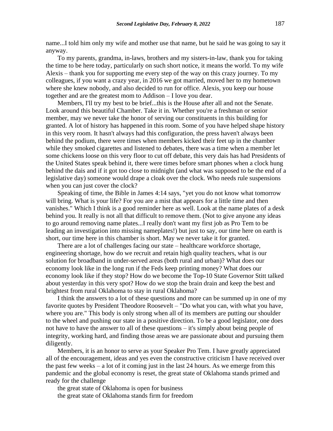name...I told him only my wife and mother use that name, but he said he was going to say it anyway.

To my parents, grandma, in-laws, brothers and my sisters-in-law, thank you for taking the time to be here today, particularly on such short notice, it means the world. To my wife Alexis – thank you for supporting me every step of the way on this crazy journey. To my colleagues, if you want a crazy year, in 2016 we got married, moved her to my hometown where she knew nobody, and also decided to run for office. Alexis, you keep our house together and are the greatest mom to Addison – I love you dear.

Members, I'll try my best to be brief...this is the House after all and not the Senate. Look around this beautiful Chamber. Take it in. Whether you're a freshman or senior member, may we never take the honor of serving our constituents in this building for granted. A lot of history has happened in this room. Some of you have helped shape history in this very room. It hasn't always had this configuration, the press haven't always been behind the podium, there were times when members kicked their feet up in the chamber while they smoked cigarettes and listened to debates, there was a time when a member let some chickens loose on this very floor to cut off debate, this very dais has had Presidents of the United States speak behind it, there were times before smart phones when a clock hung behind the dais and if it got too close to midnight (and what was supposed to be the end of a legislative day) someone would drape a cloak over the clock. Who needs rule suspensions when you can just cover the clock?

Speaking of time, the Bible in James 4:14 says, "yet you do not know what tomorrow will bring. What is your life? For you are a mist that appears for a little time and then vanishes." Which I think is a good reminder here as well. Look at the name plates of a desk behind you. It really is not all that difficult to remove them. (Not to give anyone any ideas to go around removing name plates...I really don't want my first job as Pro Tem to be leading an investigation into missing nameplates!) but just to say, our time here on earth is short, our time here in this chamber is short. May we never take it for granted.

There are a lot of challenges facing our state – healthcare workforce shortage, engineering shortage, how do we recruit and retain high quality teachers, what is our solution for broadband in under-served areas (both rural and urban)? What does our economy look like in the long run if the Feds keep printing money? What does our economy look like if they stop? How do we become the Top-10 State Governor Stitt talked about yesterday in this very spot? How do we stop the brain drain and keep the best and brightest from rural Oklahoma to stay in rural Oklahoma?

I think the answers to a lot of these questions and more can be summed up in one of my favorite quotes by President Theodore Roosevelt – "Do what you can, with what you have, where you are." This body is only strong when all of its members are putting our shoulder to the wheel and pushing our state in a positive direction. To be a good legislator, one does not have to have the answer to all of these questions – it's simply about being people of integrity, working hard, and finding those areas we are passionate about and pursuing them diligently.

Members, it is an honor to serve as your Speaker Pro Tem. I have greatly appreciated all of the encouragement, ideas and yes even the constructive criticism I have received over the past few weeks – a lot of it coming just in the last 24 hours. As we emerge from this pandemic and the global economy is reset, the great state of Oklahoma stands primed and ready for the challenge

the great state of Oklahoma is open for business the great state of Oklahoma stands firm for freedom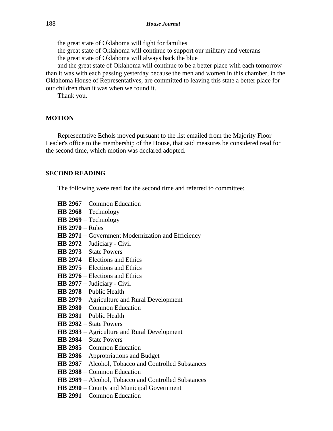the great state of Oklahoma will fight for families the great state of Oklahoma will continue to support our military and veterans the great state of Oklahoma will always back the blue and the great state of Oklahoma will continue to be a better place with each tomorrow than it was with each passing yesterday because the men and women in this chamber, in the Oklahoma House of Representatives, are committed to leaving this state a better place for

our children than it was when we found it.

Thank you.

### **MOTION**

Representative Echols moved pursuant to the list emailed from the Majority Floor Leader's office to the membership of the House, that said measures be considered read for the second time, which motion was declared adopted.

#### **SECOND READING**

The following were read for the second time and referred to committee:

- **HB 2967** − Common Education
- **HB 2968** − Technology
- **HB 2969** − Technology
- **HB 2970** − Rules
- HB 2971 − Government Modernization and Efficiency
- **HB 2972** − Judiciary Civil
- **HB 2973** − State Powers
- **HB 2974** − Elections and Ethics
- **HB 2975** − Elections and Ethics
- **HB 2976** − Elections and Ethics
- **HB 2977** − Judiciary Civil
- **HB 2978** − Public Health
- **HB 2979** − Agriculture and Rural Development
- **HB 2980** − Common Education
- **HB 2981** − Public Health
- **HB 2982** − State Powers
- **HB 2983** − Agriculture and Rural Development
- **HB 2984** − State Powers
- **HB 2985** − Common Education
- **HB 2986** − Appropriations and Budget
- **HB 2987** − Alcohol, Tobacco and Controlled Substances
- **HB 2988** − Common Education
- **HB 2989** − Alcohol, Tobacco and Controlled Substances
- **HB 2990** − County and Municipal Government
- **HB 2991** − Common Education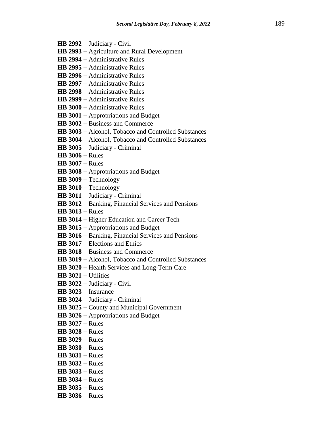- **HB 2992** − Judiciary Civil
- **HB 2993** − Agriculture and Rural Development
- **HB 2994** − Administrative Rules
- **HB 2995** − Administrative Rules
- **HB 2996** − Administrative Rules
- **HB 2997** − Administrative Rules
- **HB 2998** − Administrative Rules
- **HB 2999** − Administrative Rules
- **HB 3000** − Administrative Rules
- **HB 3001** − Appropriations and Budget
- **HB 3002** − Business and Commerce
- **HB 3003** − Alcohol, Tobacco and Controlled Substances
- **HB 3004** − Alcohol, Tobacco and Controlled Substances
- **HB 3005** − Judiciary Criminal
- **HB 3006** − Rules
- **HB 3007** − Rules
- **HB 3008** − Appropriations and Budget
- **HB 3009** − Technology
- **HB 3010** − Technology
- **HB 3011** − Judiciary Criminal
- **HB 3012** − Banking, Financial Services and Pensions
- **HB 3013** − Rules
- **HB 3014** − Higher Education and Career Tech
- **HB 3015** − Appropriations and Budget
- **HB 3016** − Banking, Financial Services and Pensions
- **HB 3017** − Elections and Ethics
- **HB 3018** − Business and Commerce
- **HB 3019** − Alcohol, Tobacco and Controlled Substances
- **HB 3020** − Health Services and Long-Term Care
- **HB 3021** − Utilities
- **HB 3022** − Judiciary Civil
- **HB 3023** − Insurance
- **HB 3024** − Judiciary Criminal
- **HB 3025** − County and Municipal Government
- **HB 3026** − Appropriations and Budget
- **HB 3027** − Rules
- **HB 3028** − Rules
- **HB 3029** − Rules
- **HB 3030** − Rules
- **HB 3031** − Rules
- **HB 3032** − Rules
- **HB 3033** − Rules
- **HB 3034** − Rules
- **HB 3035** − Rules
- **HB 3036** − Rules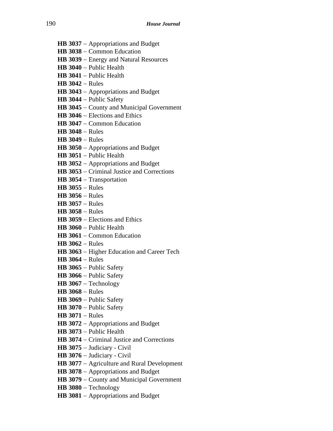- **HB 3037** − Appropriations and Budget
- **HB 3038** − Common Education
- **HB 3039** − Energy and Natural Resources
- **HB 3040** − Public Health
- **HB 3041** − Public Health
- **HB 3042** − Rules
- **HB 3043** − Appropriations and Budget
- **HB 3044** − Public Safety
- **HB 3045** − County and Municipal Government
- **HB 3046** − Elections and Ethics
- **HB 3047** − Common Education
- **HB 3048** − Rules
- **HB 3049** − Rules
- **HB 3050** − Appropriations and Budget
- **HB 3051** − Public Health
- **HB 3052** − Appropriations and Budget
- **HB 3053** − Criminal Justice and Corrections
- **HB 3054** − Transportation
- **HB 3055** − Rules
- **HB 3056** − Rules
- **HB 3057** − Rules
- **HB 3058** − Rules
- **HB 3059** − Elections and Ethics
- **HB 3060** − Public Health
- **HB 3061** − Common Education
- **HB 3062** − Rules
- **HB 3063** − Higher Education and Career Tech
- **HB 3064** − Rules
- **HB 3065** − Public Safety
- **HB 3066** − Public Safety
- **HB 3067** − Technology
- **HB 3068** − Rules
- **HB 3069** − Public Safety
- **HB 3070** − Public Safety
- **HB 3071** − Rules
- **HB 3072** − Appropriations and Budget
- **HB 3073** − Public Health
- **HB 3074** − Criminal Justice and Corrections
- **HB 3075** − Judiciary Civil
- **HB 3076** − Judiciary Civil
- **HB 3077** − Agriculture and Rural Development
- **HB 3078** − Appropriations and Budget
- **HB 3079** − County and Municipal Government
- **HB 3080** − Technology
- **HB 3081** − Appropriations and Budget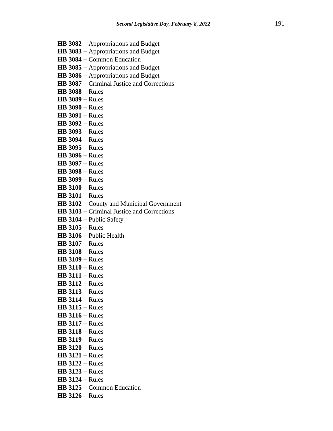- **HB 3082** − Appropriations and Budget
- **HB 3083** − Appropriations and Budget
- **HB 3084** − Common Education
- **HB 3085** − Appropriations and Budget
- **HB 3086** − Appropriations and Budget
- **HB 3087** − Criminal Justice and Corrections
- **HB 3088** − Rules
- **HB 3089** − Rules
- **HB 3090** − Rules
- **HB 3091** − Rules
- **HB 3092** − Rules
- **HB 3093** − Rules
- **HB 3094** − Rules
- **HB 3095** − Rules
- **HB 3096** − Rules
- **HB 3097** − Rules
- **HB 3098** − Rules
- **HB 3099** − Rules
- **HB 3100** − Rules
- **HB 3101** − Rules
- **HB 3102** − County and Municipal Government
- **HB 3103** − Criminal Justice and Corrections
- **HB 3104** − Public Safety
- **HB 3105** − Rules
- **HB 3106** − Public Health
- **HB 3107** − Rules
- **HB 3108** − Rules
- **HB 3109** − Rules
- **HB 3110** − Rules
- **HB 3111** − Rules
- **HB 3112** − Rules
- **HB 3113** − Rules
- **HB 3114** − Rules
- **HB 3115** − Rules
- **HB 3116** − Rules
- **HB 3117** − Rules
- **HB 3118** − Rules
- **HB 3119** − Rules
- **HB 3120** − Rules
- **HB 3121** − Rules
- **HB 3122** − Rules
- **HB 3123** − Rules
- **HB 3124** − Rules
- **HB 3125** − Common Education
- **HB 3126** − Rules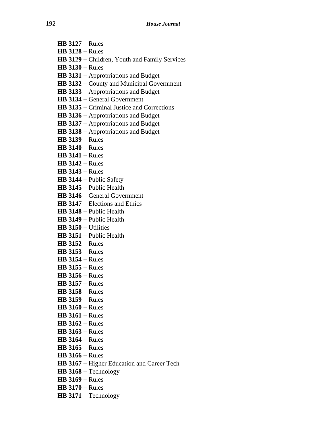- **HB 3127** − Rules **HB 3128** − Rules
- **HB 3129** − Children, Youth and Family Services
- **HB 3130** − Rules
- **HB 3131** − Appropriations and Budget
- **HB 3132** − County and Municipal Government
- **HB 3133** − Appropriations and Budget
- **HB 3134** − General Government
- **HB 3135** − Criminal Justice and Corrections
- **HB 3136** − Appropriations and Budget
- **HB 3137** − Appropriations and Budget
- **HB 3138** − Appropriations and Budget
- **HB 3139** − Rules
- **HB 3140** − Rules
- **HB 3141** − Rules
- **HB 3142** − Rules
- **HB 3143** − Rules
- **HB 3144** − Public Safety
- **HB 3145** − Public Health
- **HB 3146** − General Government
- **HB 3147** − Elections and Ethics
- **HB 3148** − Public Health
- **HB 3149** − Public Health
- **HB 3150** − Utilities
- **HB 3151** − Public Health
- **HB 3152** − Rules
- **HB 3153** − Rules
- **HB 3154** − Rules
- **HB 3155** − Rules
- **HB 3156** − Rules
- **HB 3157** − Rules
- **HB 3158** − Rules
- **HB 3159** − Rules
- **HB 3160** − Rules
- **HB 3161** − Rules
- **HB 3162** − Rules
- **HB 3163** − Rules
- **HB 3164** − Rules
- **HB 3165** − Rules
- **HB 3166** − Rules
- **HB 3167** − Higher Education and Career Tech
- **HB 3168** − Technology
- **HB 3169** − Rules
- **HB 3170** − Rules
- **HB 3171** − Technology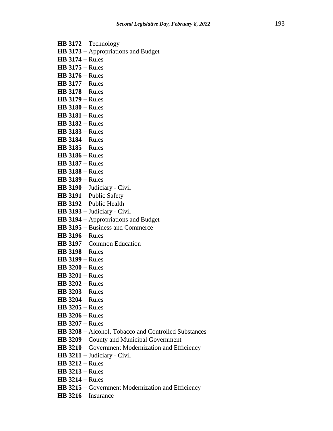- **HB 3172** − Technology
- **HB 3173** − Appropriations and Budget
- **HB 3174** − Rules
- **HB 3175** − Rules
- **HB 3176** − Rules
- **HB 3177** − Rules
- **HB 3178** − Rules
- **HB 3179** − Rules
- **HB 3180** − Rules
- **HB 3181** − Rules
- **HB 3182** − Rules
- **HB 3183** − Rules **HB 3184** − Rules
- **HB 3185** − Rules
- **HB 3186** − Rules
- 
- **HB 3187** − Rules
- **HB 3188** − Rules
- **HB 3189** − Rules
- **HB 3190** − Judiciary Civil
- **HB 3191** − Public Safety
- **HB 3192** − Public Health
- **HB 3193** − Judiciary Civil
- **HB 3194** − Appropriations and Budget
- **HB 3195** − Business and Commerce
- **HB 3196** − Rules
- **HB 3197** − Common Education
- **HB 3198** − Rules
- **HB 3199** − Rules
- **HB 3200** − Rules
- **HB 3201** − Rules
- **HB 3202** − Rules
- **HB 3203** − Rules
- **HB 3204** − Rules
- **HB 3205** − Rules
- **HB 3206** − Rules
- **HB 3207** − Rules
- **HB 3208** − Alcohol, Tobacco and Controlled Substances
- **HB 3209** − County and Municipal Government
- **HB 3210** − Government Modernization and Efficiency
- **HB 3211** − Judiciary Civil
- **HB 3212** − Rules
- **HB 3213** − Rules
- **HB 3214** − Rules
- **HB 3215** − Government Modernization and Efficiency
- **HB 3216** − Insurance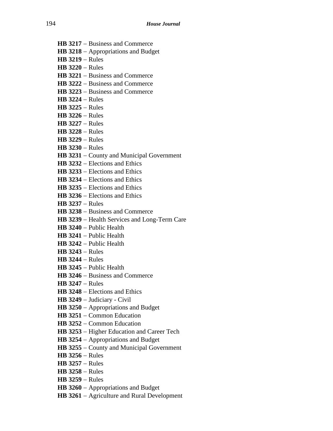- **HB 3217** − Business and Commerce
- **HB 3218** − Appropriations and Budget
- **HB 3219** − Rules
- **HB 3220** − Rules
- **HB 3221** − Business and Commerce
- **HB 3222** − Business and Commerce
- **HB 3223** − Business and Commerce
- **HB 3224** − Rules
- **HB 3225** − Rules
- **HB 3226** − Rules
- **HB 3227** − Rules
- **HB 3228** − Rules
- **HB 3229** − Rules
- **HB 3230** − Rules
- **HB 3231** − County and Municipal Government
- **HB 3232** − Elections and Ethics
- **HB 3233** − Elections and Ethics
- **HB 3234** − Elections and Ethics
- **HB 3235** − Elections and Ethics
- **HB 3236** − Elections and Ethics
- **HB 3237** − Rules
- **HB 3238** − Business and Commerce
- **HB 3239** − Health Services and Long-Term Care
- **HB 3240** − Public Health
- **HB 3241** − Public Health
- **HB 3242** − Public Health
- **HB 3243** − Rules
- **HB 3244** − Rules
- **HB 3245** − Public Health
- **HB 3246** − Business and Commerce
- **HB 3247** − Rules
- **HB 3248** − Elections and Ethics
- **HB 3249** − Judiciary Civil
- **HB 3250** − Appropriations and Budget
- **HB 3251** − Common Education
- **HB 3252** − Common Education
- **HB 3253** − Higher Education and Career Tech
- **HB 3254** − Appropriations and Budget
- **HB 3255** − County and Municipal Government
- **HB 3256** − Rules
- **HB 3257** − Rules
- **HB 3258** − Rules
- **HB 3259** − Rules
- **HB 3260** − Appropriations and Budget
- **HB 3261** − Agriculture and Rural Development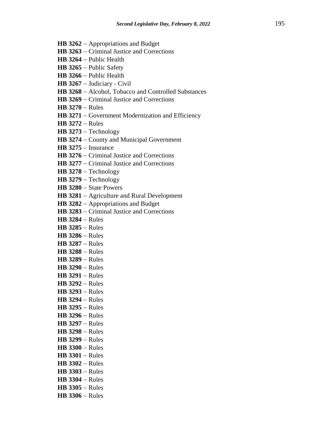- **HB 3262** − Appropriations and Budget
- **HB 3263** − Criminal Justice and Corrections
- **HB 3264** − Public Health
- **HB 3265** − Public Safety
- **HB 3266** − Public Health
- **HB 3267** − Judiciary Civil
- **HB 3268** − Alcohol, Tobacco and Controlled Substances
- **HB 3269** − Criminal Justice and Corrections
- **HB 3270** − Rules
- **HB 3271** − Government Modernization and Efficiency
- **HB 3272** − Rules
- **HB 3273** − Technology
- **HB 3274** − County and Municipal Government
- **HB 3275** − Insurance
- **HB 3276** − Criminal Justice and Corrections
- **HB 3277** − Criminal Justice and Corrections
- **HB 3278** − Technology
- **HB 3279** − Technology
- **HB 3280** − State Powers
- **HB 3281** − Agriculture and Rural Development
- **HB 3282** − Appropriations and Budget
- **HB 3283** − Criminal Justice and Corrections
- **HB 3284** − Rules
- **HB 3285** − Rules
- **HB 3286** − Rules
- **HB 3287** − Rules
- **HB 3288** − Rules
- **HB 3289** − Rules
- **HB 3290** − Rules
- **HB 3291** − Rules
- **HB 3292** − Rules
- **HB 3293** − Rules
- **HB 3294** − Rules
- **HB 3295** − Rules
- **HB 3296** − Rules
- **HB 3297** − Rules
- **HB 3298** − Rules
- **HB 3299** − Rules
- **HB 3300** − Rules
- **HB 3301** − Rules
- **HB 3302** − Rules
- **HB 3303** − Rules
- **HB 3304** − Rules
- **HB 3305** − Rules
- **HB 3306** − Rules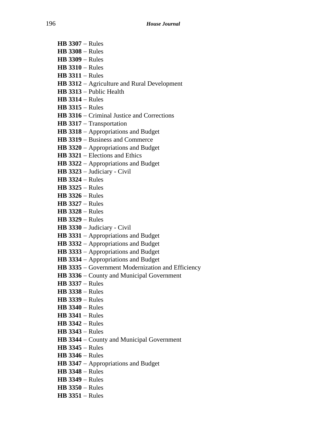- **HB 3307** − Rules
- **HB 3308** − Rules
- **HB 3309** − Rules
- **HB 3310** − Rules
- **HB 3311** − Rules
- **HB 3312** − Agriculture and Rural Development
- **HB 3313** − Public Health
- **HB 3314** − Rules
- **HB 3315** − Rules
- **HB 3316** − Criminal Justice and Corrections
- **HB 3317** − Transportation
- **HB 3318** − Appropriations and Budget
- **HB 3319** − Business and Commerce
- **HB 3320** − Appropriations and Budget
- **HB 3321** − Elections and Ethics
- **HB 3322** − Appropriations and Budget
- **HB 3323** − Judiciary Civil
- **HB 3324** − Rules
- **HB 3325** − Rules
- **HB 3326** − Rules
- **HB 3327** − Rules
- **HB 3328** − Rules
- **HB 3329** − Rules
- **HB 3330** − Judiciary Civil
- **HB 3331** − Appropriations and Budget
- **HB 3332** − Appropriations and Budget
- **HB 3333** − Appropriations and Budget
- **HB 3334** − Appropriations and Budget
- **HB 3335** − Government Modernization and Efficiency
- **HB 3336** − County and Municipal Government
- **HB 3337** − Rules
- **HB 3338** − Rules
- **HB 3339** − Rules
- **HB 3340** − Rules
- **HB 3341** − Rules
- **HB 3342** − Rules
- **HB 3343** − Rules
- **HB 3344** − County and Municipal Government
- **HB 3345** − Rules
- **HB 3346** − Rules
- **HB 3347** − Appropriations and Budget
- **HB 3348** − Rules
- **HB 3349** − Rules
- **HB 3350** − Rules
- **HB 3351** − Rules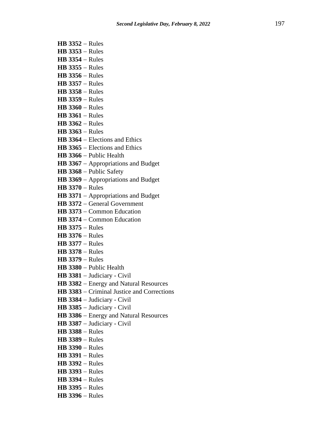- **HB 3352** − Rules
- **HB 3353** − Rules
- **HB 3354** − Rules
- **HB 3355** − Rules
- **HB 3356** − Rules
- **HB 3357** − Rules
- **HB 3358** − Rules
- **HB 3359** − Rules
- **HB 3360** − Rules
- **HB 3361** − Rules
- **HB 3362** − Rules
- **HB 3363** − Rules
- **HB 3364** − Elections and Ethics
- **HB 3365** − Elections and Ethics
- **HB 3366** − Public Health
- **HB 3367** − Appropriations and Budget
- **HB 3368** − Public Safety
- **HB 3369** − Appropriations and Budget
- **HB 3370** − Rules
- **HB 3371** − Appropriations and Budget
- **HB 3372** − General Government
- **HB 3373** − Common Education
- **HB 3374** − Common Education
- **HB 3375** − Rules
- **HB 3376** − Rules
- **HB 3377** − Rules
- **HB 3378** − Rules
- **HB 3379** − Rules
- **HB 3380** − Public Health
- **HB 3381** − Judiciary Civil
- **HB 3382** − Energy and Natural Resources
- **HB 3383** − Criminal Justice and Corrections
- **HB 3384** − Judiciary Civil
- **HB 3385** − Judiciary Civil
- **HB 3386** − Energy and Natural Resources
- **HB 3387** − Judiciary Civil
- **HB 3388** − Rules
- **HB 3389** − Rules
- **HB 3390** − Rules
- **HB 3391** − Rules
- **HB 3392** − Rules
- **HB 3393** − Rules
- **HB 3394** − Rules
- **HB 3395** − Rules
- **HB 3396** − Rules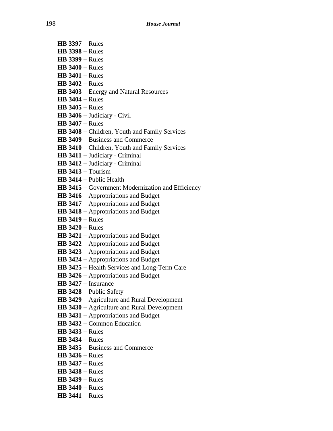- **HB 3397** − Rules
- **HB 3398** − Rules
- **HB 3399** − Rules
- **HB 3400** − Rules
- **HB 3401** − Rules
- **HB 3402** − Rules
- **HB 3403** − Energy and Natural Resources
- **HB 3404** − Rules
- **HB 3405** − Rules
- **HB 3406** − Judiciary Civil
- **HB 3407** − Rules
- **HB 3408** − Children, Youth and Family Services
- **HB 3409** − Business and Commerce
- **HB 3410** − Children, Youth and Family Services
- **HB 3411** − Judiciary Criminal
- **HB 3412** − Judiciary Criminal
- **HB 3413** − Tourism
- **HB 3414** − Public Health
- **HB 3415** − Government Modernization and Efficiency
- **HB 3416** − Appropriations and Budget
- **HB 3417** − Appropriations and Budget
- **HB 3418** − Appropriations and Budget
- **HB 3419** − Rules
- **HB 3420** − Rules
- **HB 3421** − Appropriations and Budget
- **HB 3422** − Appropriations and Budget
- **HB 3423** − Appropriations and Budget
- **HB 3424** − Appropriations and Budget
- **HB 3425** − Health Services and Long-Term Care
- **HB 3426** − Appropriations and Budget
- **HB 3427** − Insurance
- **HB 3428** − Public Safety
- **HB 3429** − Agriculture and Rural Development
- **HB 3430** − Agriculture and Rural Development
- **HB 3431** − Appropriations and Budget
- **HB 3432** − Common Education
- **HB 3433** − Rules
- **HB 3434** − Rules
- **HB 3435** − Business and Commerce
- **HB 3436** − Rules
- **HB 3437** − Rules
- **HB 3438** − Rules
- **HB 3439** − Rules
- **HB 3440** − Rules
- **HB 3441** − Rules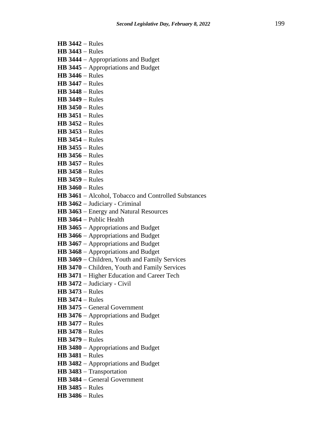- **HB 3442** − Rules
- **HB 3443** − Rules
- **HB 3444** − Appropriations and Budget
- **HB 3445** − Appropriations and Budget
- **HB 3446** − Rules
- **HB 3447** − Rules
- **HB 3448** − Rules
- **HB 3449** − Rules
- **HB 3450** − Rules
- **HB 3451** − Rules
- **HB 3452** − Rules
- **HB 3453** − Rules
- **HB 3454** − Rules
- **HB 3455** − Rules
- **HB 3456** − Rules
- **HB 3457** − Rules
- **HB 3458** − Rules
- **HB 3459** − Rules
- **HB 3460** − Rules
- **HB 3461** − Alcohol, Tobacco and Controlled Substances
- **HB 3462** − Judiciary Criminal
- **HB 3463** − Energy and Natural Resources
- **HB 3464** − Public Health
- **HB 3465** − Appropriations and Budget
- **HB 3466** − Appropriations and Budget
- **HB 3467** − Appropriations and Budget
- **HB 3468** − Appropriations and Budget
- **HB 3469** − Children, Youth and Family Services
- **HB 3470** − Children, Youth and Family Services
- **HB 3471** − Higher Education and Career Tech
- **HB 3472** − Judiciary Civil
- **HB 3473** − Rules
- **HB 3474** − Rules
- **HB 3475** − General Government
- **HB 3476** − Appropriations and Budget
- **HB 3477** − Rules
- **HB 3478** − Rules
- **HB 3479** − Rules
- **HB 3480** − Appropriations and Budget
- **HB 3481** − Rules
- **HB 3482** − Appropriations and Budget
- **HB 3483** − Transportation
- **HB 3484** − General Government
- **HB 3485** − Rules
- **HB 3486** − Rules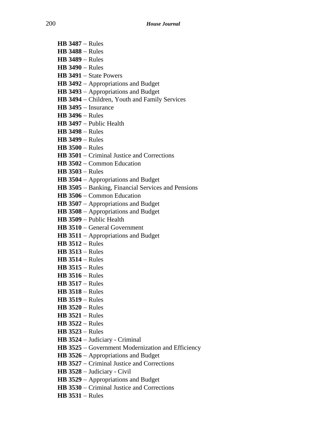- **HB 3487** − Rules
- **HB 3488** − Rules
- **HB 3489** − Rules
- **HB 3490** − Rules
- **HB 3491** − State Powers
- **HB 3492** − Appropriations and Budget
- **HB 3493** − Appropriations and Budget
- **HB 3494** − Children, Youth and Family Services
- **HB 3495** − Insurance
- **HB 3496** − Rules
- **HB 3497** − Public Health
- **HB 3498** − Rules
- **HB 3499** − Rules
- **HB 3500** − Rules
- **HB 3501** − Criminal Justice and Corrections
- **HB 3502** − Common Education
- **HB 3503** − Rules
- **HB 3504** − Appropriations and Budget
- **HB 3505** − Banking, Financial Services and Pensions
- **HB 3506** − Common Education
- **HB 3507** − Appropriations and Budget
- **HB 3508** − Appropriations and Budget
- **HB 3509** − Public Health
- **HB 3510** − General Government
- **HB 3511** − Appropriations and Budget
- **HB 3512** − Rules
- **HB 3513** − Rules
- **HB 3514** − Rules
- **HB 3515** − Rules
- **HB 3516** − Rules
- **HB 3517** − Rules
- **HB 3518** − Rules
- **HB 3519** − Rules
- **HB 3520** − Rules
- **HB 3521** − Rules
- **HB 3522** − Rules
- **HB 3523** − Rules
- **HB 3524** − Judiciary Criminal
- **HB 3525** − Government Modernization and Efficiency
- **HB 3526** − Appropriations and Budget
- **HB 3527** − Criminal Justice and Corrections
- **HB 3528** − Judiciary Civil
- **HB 3529** − Appropriations and Budget
- **HB 3530** − Criminal Justice and Corrections
- **HB 3531** − Rules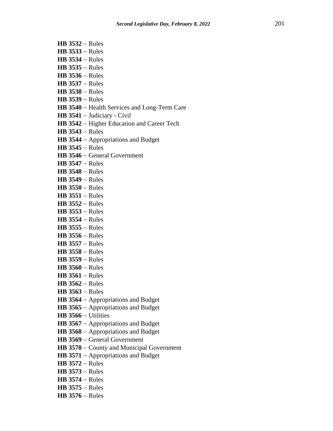- **HB 3532** − Rules
- **HB 3533** − Rules
- **HB 3534** − Rules
- **HB 3535** − Rules
- **HB 3536** − Rules
- **HB 3537** − Rules
- **HB 3538** − Rules
- **HB 3539** − Rules
- **HB 3540** − Health Services and Long-Term Care
- **HB 3541** − Judiciary Civil
- **HB 3542** − Higher Education and Career Tech
- **HB 3543** − Rules
- **HB 3544** − Appropriations and Budget
- **HB 3545** − Rules
- **HB 3546** − General Government
- **HB 3547** − Rules
- **HB 3548** − Rules
- **HB 3549** − Rules
- **HB 3550** − Rules
- **HB 3551** − Rules
- **HB 3552** − Rules
- **HB 3553** − Rules
- **HB 3554** − Rules
- **HB 3555** − Rules
- **HB 3556** − Rules
- **HB 3557** − Rules
- **HB 3558** − Rules
- **HB 3559** − Rules
- **HB 3560** − Rules
- **HB 3561** − Rules
- **HB 3562** − Rules
- **HB 3563** − Rules
- **HB 3564** − Appropriations and Budget
- **HB 3565** − Appropriations and Budget
- **HB 3566** − Utilities
- **HB 3567** − Appropriations and Budget
- **HB 3568** − Appropriations and Budget
- **HB 3569** − General Government
- **HB 3570** − County and Municipal Government
- **HB 3571** − Appropriations and Budget
- **HB 3572** − Rules
- **HB 3573** − Rules
- **HB 3574** − Rules
- **HB 3575** − Rules
- **HB 3576** − Rules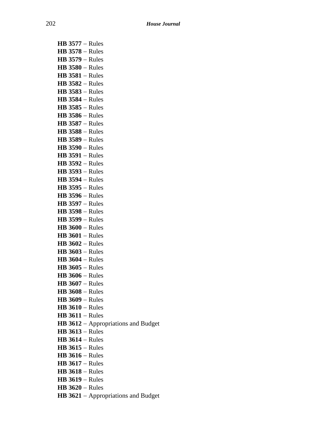| $HB$ 3577 – Rules                                               |
|-----------------------------------------------------------------|
| $HB$ 3578 – Rules                                               |
| <b>HB 3579 - Rules</b>                                          |
| $HB$ 3580 – Rules                                               |
| $HB$ 3581 – Rules                                               |
| <b>HB 3582 - Rules</b>                                          |
| $HB$ 3583 – Rules                                               |
| <b>HB 3584 - Rules</b>                                          |
| $HB$ 3585 – Rules                                               |
| $HB$ 3586 – Rules                                               |
| <b>HB 3587 - Rules</b>                                          |
| <b>HB 3588 - Rules</b>                                          |
| $HB$ 3589 – Rules                                               |
| $HB$ 3590 – Rules                                               |
| $HB$ 3591 – Rules                                               |
| <b>HB 3592 - Rules</b>                                          |
| <b>HB 3593 - Rules</b>                                          |
| <b>HB 3594 - Rules</b>                                          |
| $HB$ 3595 – Rules                                               |
| $HB$ 3596 – Rules                                               |
| <b>HB 3597 - Rules</b>                                          |
| <b>HB 3598 - Rules</b>                                          |
| <b>HB 3599 - Rules</b>                                          |
| $HB 3600 - Rules$                                               |
| $HB 3601 - Rules$                                               |
| $HB 3602 - Rules$                                               |
| $HB$ 3603 – Rules                                               |
| $HB$ 3604 – Rules                                               |
| $HB$ 3605 – Rules                                               |
| $HB$ 3606 – Rules                                               |
| $HB$ 3607 – Rules                                               |
| <b>HB 3608 - Rules</b>                                          |
| <b>HB 3609 - Rules</b><br>$HB 3610 - Rules$                     |
| $HB$ 3611 – Rules                                               |
|                                                                 |
| <b>HB 3612</b> – Appropriations and Budget<br>$HB$ 3613 – Rules |
| $HB$ 3614 – Rules                                               |
| $HB$ 3615 – Rules                                               |
| $HB$ 3616 – Rules                                               |
| $HB 3617 - Rules$                                               |
| $HB$ 3618 – Rules                                               |
| <b>HB 3619 - Rules</b>                                          |
| $HB 3620 - Rules$                                               |
| HB 3621 - Appropriations and Budget                             |
|                                                                 |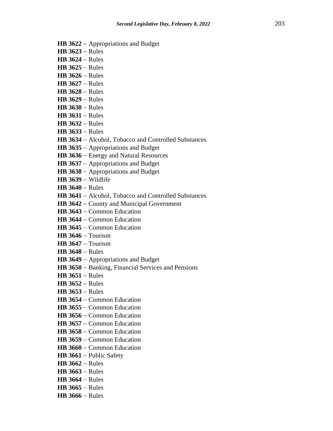- **HB 3622** − Appropriations and Budget
- **HB 3623** − Rules
- **HB 3624** − Rules
- **HB 3625** − Rules
- **HB 3626** − Rules
- **HB 3627** − Rules
- **HB 3628** − Rules
- **HB 3629** − Rules
- **HB 3630** − Rules
- **HB 3631** − Rules
- **HB 3632** − Rules
- **HB 3633** − Rules
- **HB 3634** − Alcohol, Tobacco and Controlled Substances
- **HB 3635** − Appropriations and Budget
- **HB 3636** − Energy and Natural Resources
- **HB 3637** − Appropriations and Budget
- **HB 3638** − Appropriations and Budget
- **HB 3639** − Wildlife
- **HB 3640** − Rules
- **HB 3641** − Alcohol, Tobacco and Controlled Substances
- **HB 3642** − County and Municipal Government
- **HB 3643** − Common Education
- **HB 3644** − Common Education
- **HB 3645** − Common Education
- **HB 3646** − Tourism
- **HB 3647** − Tourism
- **HB 3648** − Rules
- **HB 3649** − Appropriations and Budget
- **HB 3650** − Banking, Financial Services and Pensions
- **HB 3651** − Rules
- **HB 3652** − Rules
- **HB 3653** − Rules
- **HB 3654** − Common Education
- **HB 3655** − Common Education
- **HB 3656** − Common Education
- **HB 3657** − Common Education
- **HB 3658** − Common Education
- **HB 3659** − Common Education
- **HB 3660** − Common Education
- **HB 3661** − Public Safety
- **HB 3662** − Rules
- **HB 3663** − Rules
- **HB 3664** − Rules
- **HB 3665** − Rules
- **HB 3666** − Rules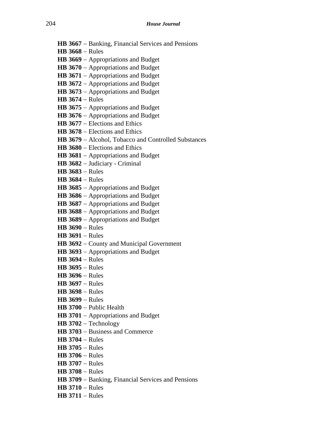- **HB 3667** − Banking, Financial Services and Pensions
- **HB 3668** − Rules
- **HB 3669** − Appropriations and Budget
- **HB 3670** − Appropriations and Budget
- **HB 3671** − Appropriations and Budget
- **HB 3672** − Appropriations and Budget
- **HB 3673** − Appropriations and Budget
- **HB 3674** − Rules
- **HB 3675** − Appropriations and Budget
- **HB 3676** − Appropriations and Budget
- **HB 3677** − Elections and Ethics
- **HB 3678** − Elections and Ethics
- **HB 3679** − Alcohol, Tobacco and Controlled Substances
- **HB 3680** − Elections and Ethics
- **HB 3681** − Appropriations and Budget
- **HB 3682** − Judiciary Criminal
- **HB 3683** − Rules
- **HB 3684** − Rules
- **HB 3685** − Appropriations and Budget
- **HB 3686** − Appropriations and Budget
- **HB 3687** − Appropriations and Budget
- **HB 3688** − Appropriations and Budget
- **HB 3689** − Appropriations and Budget
- **HB 3690** − Rules
- **HB 3691** − Rules
- **HB 3692** − County and Municipal Government
- **HB 3693** − Appropriations and Budget
- **HB 3694** − Rules
- **HB 3695** − Rules
- **HB 3696** − Rules
- **HB 3697** − Rules
- **HB 3698** − Rules
- **HB 3699** − Rules
- **HB 3700** − Public Health
- **HB 3701** − Appropriations and Budget
- **HB 3702** − Technology
- **HB 3703** − Business and Commerce
- **HB 3704** − Rules
- **HB 3705** − Rules
- **HB 3706** − Rules
- **HB 3707** − Rules
- **HB 3708** − Rules
- **HB 3709** − Banking, Financial Services and Pensions
- **HB 3710** − Rules
- **HB 3711** − Rules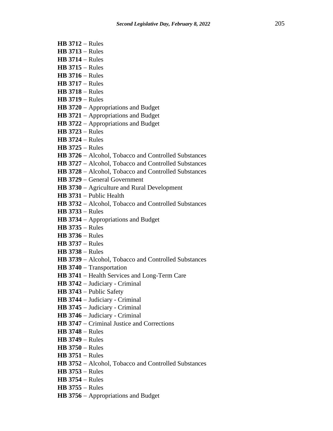- **HB 3712** − Rules
- **HB 3713** − Rules
- **HB 3714** − Rules
- **HB 3715** − Rules
- **HB 3716** − Rules
- **HB 3717** − Rules
- **HB 3718** − Rules
- **HB 3719** − Rules
- **HB 3720** − Appropriations and Budget
- **HB 3721** − Appropriations and Budget
- **HB 3722** − Appropriations and Budget
- **HB 3723** − Rules
- **HB 3724** − Rules
- **HB 3725** − Rules
- **HB 3726** − Alcohol, Tobacco and Controlled Substances
- **HB 3727** − Alcohol, Tobacco and Controlled Substances
- **HB 3728** − Alcohol, Tobacco and Controlled Substances
- **HB 3729** − General Government
- **HB 3730** − Agriculture and Rural Development
- **HB 3731** − Public Health
- **HB 3732** − Alcohol, Tobacco and Controlled Substances
- **HB 3733** − Rules
- **HB 3734** − Appropriations and Budget
- **HB 3735** − Rules
- **HB 3736** − Rules
- **HB 3737** − Rules
- **HB 3738** − Rules
- **HB 3739** − Alcohol, Tobacco and Controlled Substances
- **HB 3740** − Transportation
- **HB 3741** − Health Services and Long-Term Care
- **HB 3742** − Judiciary Criminal
- **HB 3743** − Public Safety
- **HB 3744** − Judiciary Criminal
- **HB 3745** − Judiciary Criminal
- **HB 3746** − Judiciary Criminal
- **HB 3747** − Criminal Justice and Corrections
- **HB 3748** − Rules
- **HB 3749** − Rules
- **HB 3750** − Rules
- **HB 3751** − Rules
- **HB 3752** − Alcohol, Tobacco and Controlled Substances
- **HB 3753** − Rules
- **HB 3754** − Rules
- **HB 3755** − Rules
- **HB 3756** − Appropriations and Budget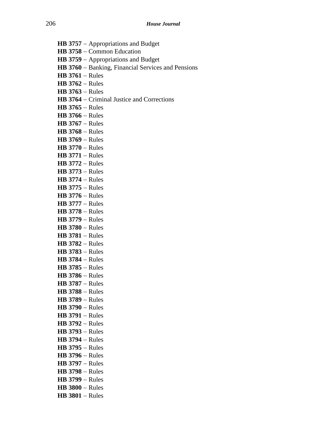- **HB 3757** − Appropriations and Budget
- **HB 3758** − Common Education
- **HB 3759** − Appropriations and Budget
- **HB 3760** − Banking, Financial Services and Pensions
- **HB 3761** − Rules
- **HB 3762** − Rules
- **HB 3763** − Rules
- **HB 3764** − Criminal Justice and Corrections
- **HB 3765** − Rules
- **HB 3766** − Rules
- **HB 3767** − Rules
- **HB 3768** − Rules
- **HB 3769** − Rules
- **HB 3770** − Rules
- **HB 3771** − Rules
- **HB 3772** − Rules
- **HB 3773** − Rules
- **HB 3774** − Rules
- **HB 3775** − Rules
- **HB 3776** − Rules
- **HB 3777** − Rules
- **HB 3778** − Rules
- **HB 3779** − Rules **HB 3780** − Rules
- **HB 3781** − Rules
- **HB 3782** − Rules
- **HB 3783** − Rules
- **HB 3784** − Rules
- **HB 3785** − Rules
- **HB 3786** − Rules
- **HB 3787** − Rules
- 
- **HB 3788** − Rules
- **HB 3789** − Rules
- **HB 3790** − Rules
- **HB 3791** − Rules
- **HB 3792** − Rules
- **HB 3793** − Rules
- **HB 3794** − Rules
- **HB 3795** − Rules
- **HB 3796** − Rules
- **HB 3797** − Rules
- **HB 3798** − Rules
- **HB 3799** − Rules
- 
- **HB 3800** − Rules
- **HB 3801** − Rules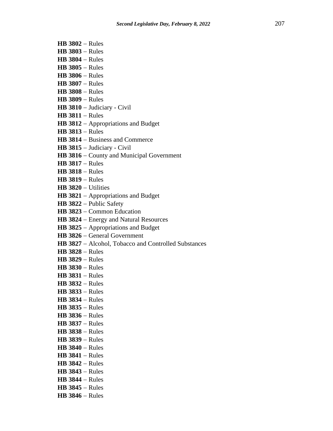- **HB 3802** − Rules
- **HB 3803** − Rules
- **HB 3804** − Rules
- **HB 3805** − Rules
- **HB 3806** − Rules
- **HB 3807** − Rules
- **HB 3808** − Rules
- **HB 3809** − Rules
- **HB 3810** − Judiciary Civil
- **HB 3811** − Rules
- **HB 3812** − Appropriations and Budget
- **HB 3813** − Rules
- **HB 3814** − Business and Commerce
- **HB 3815** − Judiciary Civil
- **HB 3816** − County and Municipal Government
- **HB 3817** − Rules
- **HB 3818** − Rules
- **HB 3819** − Rules
- **HB 3820** − Utilities
- **HB 3821** − Appropriations and Budget
- **HB 3822** − Public Safety
- **HB 3823** − Common Education
- **HB 3824** − Energy and Natural Resources
- **HB 3825** − Appropriations and Budget
- **HB 3826** − General Government
- **HB 3827** − Alcohol, Tobacco and Controlled Substances
- **HB 3828** − Rules
- **HB 3829** − Rules
- **HB 3830** − Rules
- **HB 3831** − Rules
- **HB 3832** − Rules
- **HB 3833** − Rules
- **HB 3834** − Rules
- **HB 3835** − Rules
- **HB 3836** − Rules
- **HB 3837** − Rules
- **HB 3838** − Rules
- **HB 3839** − Rules
- 
- **HB 3840** − Rules
- **HB 3841** − Rules
- **HB 3842** − Rules
- **HB 3843** − Rules
- **HB 3844** − Rules
- **HB 3845** − Rules
- **HB 3846** − Rules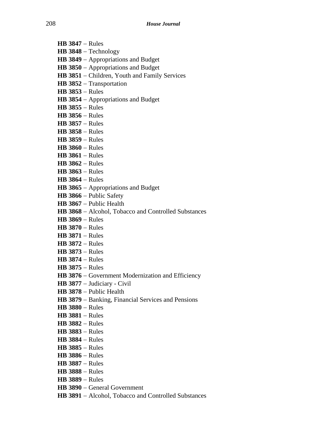**HB 3847** − Rules **HB 3848** − Technology **HB 3849** − Appropriations and Budget **HB 3850** − Appropriations and Budget **HB 3851** − Children, Youth and Family Services **HB 3852** − Transportation **HB 3853** − Rules **HB 3854** − Appropriations and Budget **HB 3855** − Rules **HB 3856** − Rules **HB 3857** − Rules **HB 3858** − Rules **HB 3859** − Rules **HB 3860** − Rules **HB 3861** − Rules **HB 3862** − Rules **HB 3863** − Rules **HB 3864** − Rules **HB 3865** − Appropriations and Budget **HB 3866** − Public Safety **HB 3867** − Public Health **HB 3868** − Alcohol, Tobacco and Controlled Substances **HB 3869** − Rules **HB 3870** − Rules **HB 3871** − Rules **HB 3872** − Rules **HB 3873** − Rules **HB 3874** − Rules **HB 3875** − Rules **HB 3876** − Government Modernization and Efficiency **HB 3877** − Judiciary - Civil **HB 3878** − Public Health **HB 3879** − Banking, Financial Services and Pensions **HB 3880** − Rules **HB 3881** − Rules **HB 3882** − Rules **HB 3883** − Rules **HB 3884** − Rules **HB 3885** − Rules

- **HB 3886** − Rules
- **HB 3887** − Rules
- **HB 3888** − Rules
- **HB 3889** − Rules
- **HB 3890** − General Government
- **HB 3891** − Alcohol, Tobacco and Controlled Substances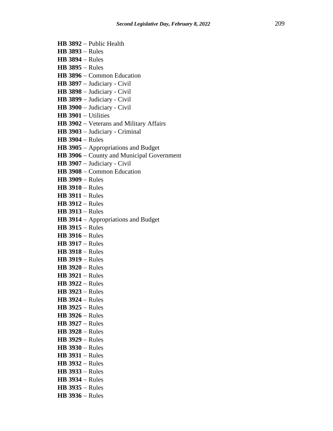- **HB 3892** − Public Health
- **HB 3893** − Rules
- **HB 3894** − Rules
- **HB 3895** − Rules
- **HB 3896** − Common Education
- **HB 3897** − Judiciary Civil
- **HB 3898** − Judiciary Civil
- **HB 3899** − Judiciary Civil
- **HB 3900** − Judiciary Civil
- **HB 3901** − Utilities
- **HB 3902** − Veterans and Military Affairs
- **HB 3903** − Judiciary Criminal
- **HB 3904** − Rules
- **HB 3905** − Appropriations and Budget
- **HB 3906** − County and Municipal Government
- **HB 3907** − Judiciary Civil
- **HB 3908** − Common Education
- **HB 3909** − Rules
- **HB 3910** − Rules
- **HB 3911** − Rules
- **HB 3912** − Rules
- **HB 3913** − Rules
- **HB 3914** − Appropriations and Budget
- **HB 3915** − Rules
- **HB 3916** − Rules
- **HB 3917** − Rules
- **HB 3918** − Rules
- **HB 3919** − Rules
- **HB 3920** − Rules
- **HB 3921** − Rules
- **HB 3922** − Rules
- **HB 3923** − Rules
- **HB 3924** − Rules
- **HB 3925** − Rules
- **HB 3926** − Rules
- **HB 3927** − Rules
- **HB 3928** − Rules
- **HB 3929** − Rules
- **HB 3930** − Rules
- **HB 3931** − Rules
- **HB 3932** − Rules
- **HB 3933** − Rules
- **HB 3934** − Rules
- **HB 3935** − Rules
- **HB 3936** − Rules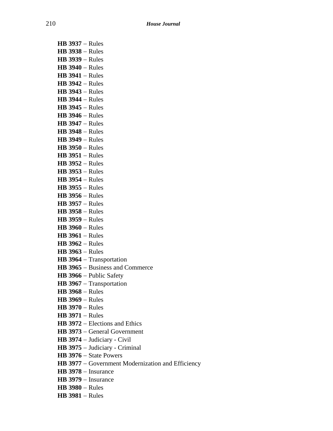| <b>HB 3937 - Rules</b>                                     |
|------------------------------------------------------------|
| <b>HB 3938 - Rules</b>                                     |
| <b>HB 3939 - Rules</b>                                     |
| <b>HB 3940 - Rules</b>                                     |
| $HB$ 3941 – Rules                                          |
| $HB$ 3942 – Rules                                          |
| <b>HB 3943 - Rules</b>                                     |
| <b>HB 3944 - Rules</b>                                     |
| $HB$ 3945 – Rules                                          |
| $HB$ 3946 – Rules                                          |
| $HB$ 3947 – Rules                                          |
| <b>HB 3948 - Rules</b>                                     |
| <b>HB 3949 - Rules</b>                                     |
| $HB$ 3950 – Rules                                          |
| $HB$ 3951 – Rules                                          |
| $HB$ 3952 – Rules                                          |
| <b>HB 3953 - Rules</b>                                     |
| <b>HB 3954 - Rules</b>                                     |
| <b>HB 3955 - Rules</b>                                     |
| $HB$ 3956 – Rules                                          |
| <b>HB 3957 - Rules</b>                                     |
| <b>HB 3958 - Rules</b>                                     |
| <b>HB 3959 - Rules</b>                                     |
| $HB$ 3960 – Rules                                          |
| $HB$ 3961 – Rules                                          |
| $HB 3962 - Rules$                                          |
| $HB$ 3963 – Rules                                          |
| HB 3964 - Transportation                                   |
| <b>HB 3965</b> – Business and Commerce                     |
| HB 3966 - Public Safety                                    |
| HB 3967 - Transportation                                   |
| $HB$ 3968 – Rules                                          |
| <b>HB 3969 - Rules</b><br><b>HB 3970 - Rules</b>           |
|                                                            |
| $HB$ 3971 – Rules<br><b>HB 3972</b> – Elections and Ethics |
| HB 3973 - General Government                               |
| HB 3974 - Judiciary - Civil                                |
| HB 3975 - Judiciary - Criminal                             |
| <b>HB 3976</b> $-$ State Powers                            |
| HB 3977 - Government Modernization and Efficiency          |
| $HB$ 3978 – Insurance                                      |
| $HB$ 3979 – Insurance                                      |
|                                                            |

- **HB 3980** − Rules
- **HB 3981** − Rules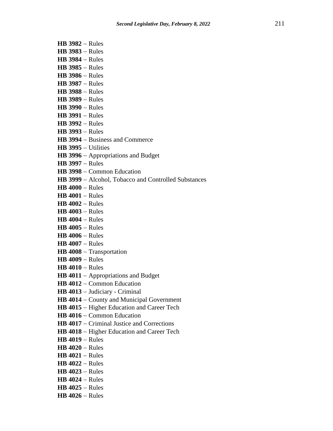- **HB 3982** − Rules
- **HB 3983** − Rules
- **HB 3984** − Rules
- **HB 3985** − Rules
- **HB 3986** − Rules
- **HB 3987** − Rules
- **HB 3988** − Rules
- **HB 3989** − Rules
- **HB 3990** − Rules
- **HB 3991** − Rules
- **HB 3992** − Rules
- **HB 3993** − Rules
- **HB 3994** − Business and Commerce
- **HB 3995** − Utilities
- **HB 3996** − Appropriations and Budget
- **HB 3997** − Rules
- **HB 3998** − Common Education
- **HB 3999** − Alcohol, Tobacco and Controlled Substances
- **HB 4000** − Rules
- **HB 4001** − Rules
- **HB 4002** − Rules
- **HB 4003** − Rules
- **HB 4004** − Rules
- **HB 4005** − Rules
- **HB 4006** − Rules
- **HB 4007** − Rules
- **HB 4008** − Transportation
- **HB 4009** − Rules
- **HB 4010** − Rules
- **HB 4011** − Appropriations and Budget
- **HB 4012** − Common Education
- **HB 4013** − Judiciary Criminal
- **HB 4014** − County and Municipal Government
- **HB 4015** − Higher Education and Career Tech
- **HB 4016** − Common Education
- **HB 4017** − Criminal Justice and Corrections
- **HB 4018** − Higher Education and Career Tech
- **HB 4019** − Rules
- **HB 4020** − Rules
- **HB 4021** − Rules
- **HB 4022** − Rules
- **HB 4023** − Rules
- **HB 4024** − Rules
- **HB 4025** − Rules
- **HB 4026** − Rules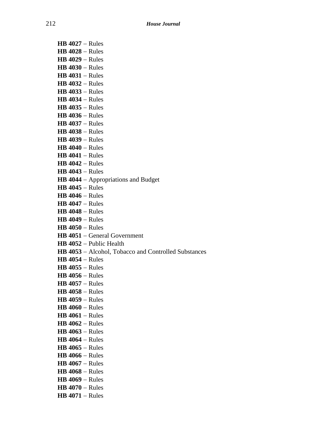**HB 4027** − Rules **HB 4028** − Rules **HB 4029** − Rules **HB 4030** − Rules **HB 4031** − Rules **HB 4032** − Rules **HB 4033** − Rules **HB 4034** − Rules **HB 4035** − Rules **HB 4036** − Rules **HB 4037** − Rules **HB 4038** − Rules **HB 4039** − Rules **HB 4040** − Rules **HB 4041** − Rules **HB 4042** − Rules **HB 4043** − Rules **HB 4044** − Appropriations and Budget **HB 4045** − Rules **HB 4046** − Rules **HB 4047** − Rules **HB 4048** − Rules **HB 4049** − Rules **HB 4050** − Rules **HB 4051** − General Government **HB 4052** − Public Health **HB 4053** − Alcohol, Tobacco and Controlled Substances **HB 4054** − Rules **HB 4055** − Rules **HB 4056** − Rules **HB 4057** − Rules **HB 4058** − Rules **HB 4059** − Rules **HB 4060** − Rules **HB 4061** − Rules **HB 4062** − Rules **HB 4063** − Rules **HB 4064** − Rules **HB 4065** − Rules **HB 4066** − Rules **HB 4067** − Rules **HB 4068** − Rules **HB 4069** − Rules **HB 4070** − Rules **HB 4071** − Rules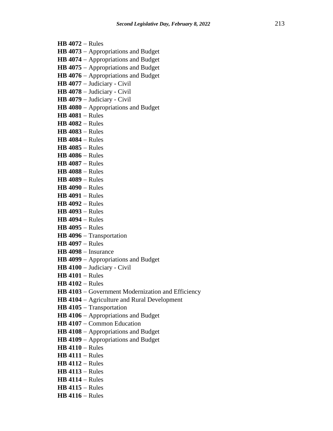- **HB 4072** − Rules
- **HB 4073** − Appropriations and Budget
- **HB 4074** − Appropriations and Budget
- **HB 4075** − Appropriations and Budget
- **HB 4076** − Appropriations and Budget
- **HB 4077** − Judiciary Civil
- **HB 4078** − Judiciary Civil
- **HB 4079** − Judiciary Civil
- **HB 4080** − Appropriations and Budget
- **HB 4081** − Rules
- **HB 4082** − Rules
- **HB 4083** − Rules
- **HB 4084** − Rules
- **HB 4085** − Rules
- **HB 4086** − Rules
- **HB 4087** − Rules
- **HB 4088** − Rules
- **HB 4089** − Rules
- **HB 4090** − Rules
- **HB 4091** − Rules
- **HB 4092** − Rules
- **HB 4093** − Rules
- **HB 4094** − Rules
- **HB 4095** − Rules
- **HB 4096** − Transportation
- **HB 4097** − Rules
- **HB 4098** − Insurance
- **HB 4099** − Appropriations and Budget
- **HB 4100** − Judiciary Civil
- **HB 4101** − Rules
- **HB 4102** − Rules
- **HB 4103** − Government Modernization and Efficiency
- **HB 4104** − Agriculture and Rural Development
- **HB 4105** − Transportation
- **HB 4106** − Appropriations and Budget
- **HB 4107** − Common Education
- **HB 4108** − Appropriations and Budget
- **HB 4109** − Appropriations and Budget
- **HB 4110** − Rules
- **HB 4111** − Rules
- **HB 4112** − Rules
- **HB 4113** − Rules
- **HB 4114** − Rules
- **HB 4115** − Rules
- **HB 4116** − Rules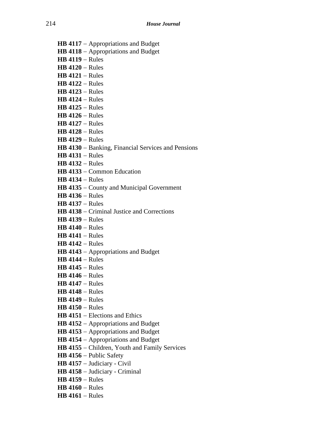- **HB 4117** − Appropriations and Budget
- **HB 4118** − Appropriations and Budget
- **HB 4119** − Rules
- **HB 4120** − Rules
- **HB 4121** − Rules
- **HB 4122** − Rules
- **HB 4123** − Rules
- **HB 4124** − Rules
- **HB 4125** − Rules
- **HB 4126** − Rules
- **HB 4127** − Rules
- **HB 4128** − Rules
- **HB 4129** − Rules
- **HB 4130** − Banking, Financial Services and Pensions
- **HB 4131** − Rules
- **HB 4132** − Rules
- **HB 4133** − Common Education
- **HB 4134** − Rules
- **HB 4135** − County and Municipal Government
- **HB 4136** − Rules
- **HB 4137** − Rules
- **HB 4138** − Criminal Justice and Corrections
- **HB 4139** − Rules
- **HB 4140** − Rules
- **HB 4141** − Rules
- **HB 4142** − Rules
- **HB 4143** − Appropriations and Budget
- **HB 4144** − Rules
- **HB 4145** − Rules
- **HB 4146** − Rules
- **HB 4147** − Rules
- **HB 4148** − Rules
- **HB 4149** − Rules
- **HB 4150** − Rules
- **HB 4151** − Elections and Ethics
- **HB 4152** − Appropriations and Budget
- **HB 4153** − Appropriations and Budget
- **HB 4154** − Appropriations and Budget
- **HB 4155** − Children, Youth and Family Services
- **HB 4156** − Public Safety
- **HB 4157** − Judiciary Civil
- **HB 4158** − Judiciary Criminal
- **HB 4159** − Rules
- **HB 4160** − Rules
- **HB 4161** − Rules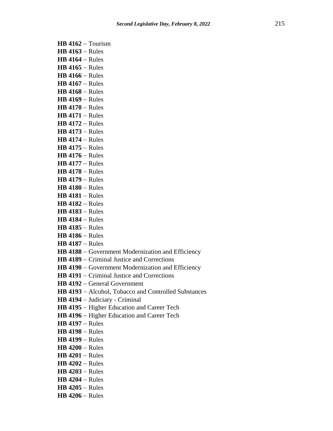**HB 4162** − Tourism **HB 4163** − Rules **HB 4164** − Rules **HB 4165** − Rules **HB 4166** − Rules **HB 4167** − Rules **HB 4168** − Rules **HB 4169** − Rules **HB 4170** − Rules **HB 4171** − Rules **HB 4172** − Rules **HB 4173** − Rules **HB 4174** − Rules **HB 4175** − Rules **HB 4176** − Rules **HB 4177** − Rules **HB 4178** − Rules **HB 4179** − Rules **HB 4180** − Rules **HB 4181** − Rules **HB 4182** − Rules **HB 4183** − Rules **HB 4184** − Rules **HB 4185** − Rules **HB 4186** − Rules **HB 4187** − Rules **HB 4188** − Government Modernization and Efficiency **HB 4189** − Criminal Justice and Corrections **HB 4190** − Government Modernization and Efficiency **HB 4191** − Criminal Justice and Corrections **HB 4192** − General Government **HB 4193** − Alcohol, Tobacco and Controlled Substances **HB 4194** − Judiciary - Criminal **HB 4195** − Higher Education and Career Tech **HB 4196** − Higher Education and Career Tech **HB 4197** − Rules **HB 4198** − Rules **HB 4199** − Rules **HB 4200** − Rules **HB 4201** − Rules **HB 4202** − Rules **HB 4203** − Rules **HB 4204** − Rules **HB 4205** − Rules

**HB 4206** − Rules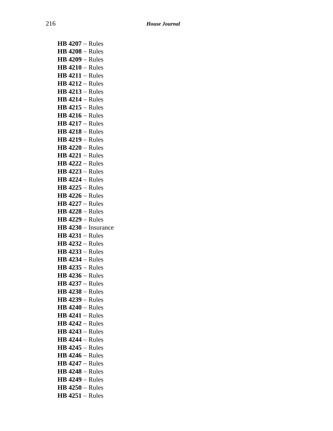| $HB$ 4207 – Rules                      |
|----------------------------------------|
| $HB$ 4208 - Rules                      |
| $HB$ 4209 – Rules                      |
| $HB$ 4210 – Rules                      |
| $HB$ 4211 – Rules                      |
| $HB$ 4212 – Rules                      |
| $HB$ 4213 – Rules                      |
| $HB$ 4214 – Rules                      |
| $HB$ 4215 – Rules                      |
| $HB$ 4216 – Rules                      |
| $HB$ 4217 – Rules                      |
| $HB$ 4218 – Rules                      |
| $HB$ 4219 – Rules                      |
| $HB$ 4220 – Rules                      |
| $HB$ 4221 – Rules                      |
| $HB$ 4222 – Rules                      |
| <b>HB 4223 - Rules</b>                 |
| $HB$ 4224 – Rules                      |
| $HB$ 4225 – Rules                      |
| $HB$ 4226 – Rules                      |
| $HB$ 4227 – Rules                      |
| $HB$ 4228 – Rules                      |
| $HB$ 4229 – Rules                      |
|                                        |
| HB 4230 - Insurance                    |
| $HB$ 4231 – Rules                      |
| $HB$ 4232 – Rules                      |
| <b>HB 4233 - Rules</b>                 |
| $HB$ 4234 – Rules                      |
| $HB$ 4235 – Rules                      |
| $HB$ 4236 - Rules                      |
| $HB$ 4237 – Rules                      |
| <b>HB 4238 - Rules</b>                 |
| <b>HB 4239 - Rules</b>                 |
| $HB$ 4240 – Rules                      |
| $HB$ 4241 – Rules                      |
| $HB$ 4242 – Rules                      |
| $HB$ 4243 – Rules                      |
| $HB$ 4244 – Rules                      |
| $HB$ 4245 – Rules                      |
| $HB$ 4246 – Rules                      |
| $HB$ 4247 – Rules                      |
| $HB$ 4248 – Rules                      |
| $HB$ 4249 – Rules                      |
| $HB$ 4250 – Rules<br>$HB$ 4251 – Rules |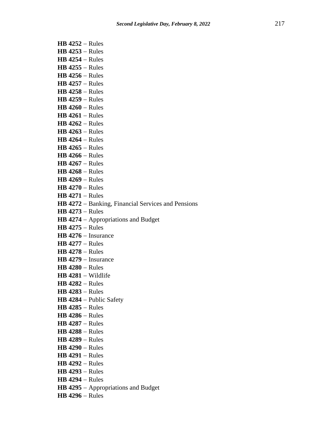**HB 4252** − Rules **HB 4253** − Rules **HB 4254** − Rules **HB 4255** − Rules **HB 4256** − Rules **HB 4257** − Rules **HB 4258** − Rules **HB 4259** − Rules **HB 4260** − Rules **HB 4261** − Rules **HB 4262** − Rules **HB 4263** − Rules **HB 4264** − Rules **HB 4265** − Rules **HB 4266** − Rules **HB 4267** − Rules **HB 4268** − Rules **HB 4269** − Rules **HB 4270** − Rules **HB 4271** − Rules **HB 4272** − Banking, Financial Services and Pensions **HB 4273** − Rules **HB 4274** − Appropriations and Budget **HB 4275** − Rules **HB 4276** − Insurance **HB 4277** − Rules **HB 4278** − Rules **HB 4279** − Insurance **HB 4280** − Rules **HB 4281** − Wildlife **HB 4282** − Rules **HB 4283** − Rules **HB 4284** − Public Safety **HB 4285** − Rules **HB 4286** − Rules **HB 4287** − Rules **HB 4288** − Rules **HB 4289** − Rules **HB 4290** − Rules **HB 4291** − Rules **HB 4292** − Rules **HB 4293** − Rules **HB 4294** − Rules **HB 4295** − Appropriations and Budget **HB 4296** − Rules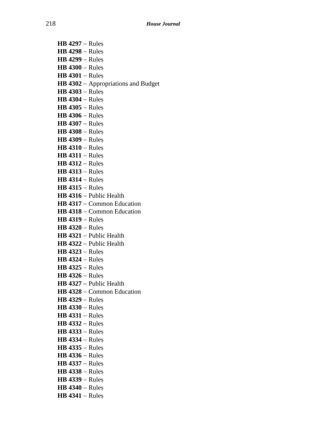**HB 4297** − Rules **HB 4298** − Rules **HB 4299** − Rules **HB 4300** − Rules **HB 4301** − Rules **HB 4302** − Appropriations and Budget **HB 4303** − Rules **HB 4304** − Rules **HB 4305** − Rules **HB 4306** − Rules **HB 4307** − Rules **HB 4308** − Rules **HB 4309** − Rules **HB 4310** − Rules **HB 4311** − Rules **HB 4312** − Rules **HB 4313** − Rules **HB 4314** − Rules **HB 4315** − Rules **HB 4316** − Public Health **HB 4317** − Common Education **HB 4318** − Common Education **HB 4319** − Rules **HB 4320** − Rules **HB 4321** − Public Health **HB 4322** − Public Health **HB 4323** − Rules **HB 4324** − Rules **HB 4325** − Rules **HB 4326** − Rules **HB 4327** − Public Health **HB 4328** − Common Education **HB 4329** − Rules **HB 4330** − Rules **HB 4331** − Rules **HB 4332** − Rules **HB 4333** − Rules **HB 4334** − Rules **HB 4335** − Rules **HB 4336** − Rules **HB 4337** − Rules **HB 4338** − Rules **HB 4339** − Rules **HB 4340** − Rules **HB 4341** − Rules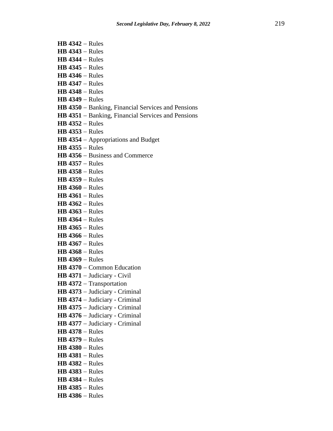- **HB 4342** − Rules
- **HB 4343** − Rules
- **HB 4344** − Rules
- **HB 4345** − Rules
- **HB 4346** − Rules
- **HB 4347** − Rules
- **HB 4348** − Rules
- **HB 4349** − Rules
- **HB 4350** − Banking, Financial Services and Pensions
- **HB 4351** − Banking, Financial Services and Pensions
- **HB 4352** − Rules
- **HB 4353** − Rules
- **HB 4354** − Appropriations and Budget
- **HB 4355** − Rules
- **HB 4356** − Business and Commerce
- **HB 4357** − Rules
- **HB 4358** − Rules
- **HB 4359** − Rules
- **HB 4360** − Rules
- **HB 4361** − Rules
- **HB 4362** − Rules
- **HB 4363** − Rules
- **HB 4364** − Rules
- **HB 4365** − Rules
- **HB 4366** − Rules
- **HB 4367** − Rules
- **HB 4368** − Rules
- **HB 4369** − Rules
- **HB 4370** − Common Education
- **HB 4371** − Judiciary Civil
- **HB 4372** − Transportation
- **HB 4373** − Judiciary Criminal
- **HB 4374** − Judiciary Criminal
- **HB 4375** − Judiciary Criminal
- **HB 4376** − Judiciary Criminal
- **HB 4377** − Judiciary Criminal
- **HB 4378** − Rules
- **HB 4379** − Rules
- **HB 4380** − Rules
- **HB 4381** − Rules
- **HB 4382** − Rules
- **HB 4383** − Rules
- **HB 4384** − Rules
- **HB 4385** − Rules
- **HB 4386** − Rules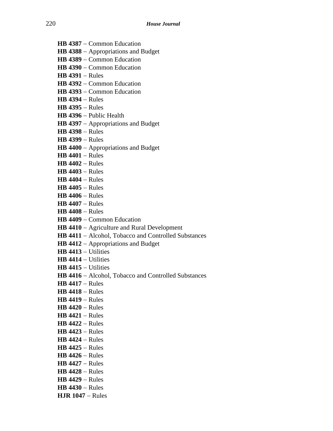- **HB 4387** − Common Education
- **HB 4388** − Appropriations and Budget
- **HB 4389** − Common Education
- **HB 4390** − Common Education
- **HB 4391** − Rules
- **HB 4392** − Common Education
- **HB 4393** − Common Education
- **HB 4394** − Rules
- **HB 4395** − Rules
- **HB 4396** − Public Health
- **HB 4397** − Appropriations and Budget
- **HB 4398** − Rules
- **HB 4399** − Rules
- **HB 4400** − Appropriations and Budget
- **HB 4401** − Rules
- **HB 4402** − Rules
- **HB 4403** − Rules
- **HB 4404** − Rules
- **HB 4405** − Rules
- **HB 4406** − Rules
- **HB 4407** − Rules
- **HB 4408** − Rules
- **HB 4409** − Common Education
- **HB 4410** − Agriculture and Rural Development
- **HB 4411** − Alcohol, Tobacco and Controlled Substances
- **HB 4412** − Appropriations and Budget
- **HB 4413** − Utilities
- **HB 4414** − Utilities
- **HB 4415** − Utilities
- **HB 4416** − Alcohol, Tobacco and Controlled Substances
- **HB 4417** − Rules
- **HB 4418** − Rules
- **HB 4419** − Rules
- **HB 4420** − Rules
- **HB 4421** − Rules
- **HB 4422** − Rules
- **HB 4423** − Rules
- **HB 4424** − Rules
- **HB 4425** − Rules
- **HB 4426** − Rules
- **HB 4427** − Rules
- **HB 4428** − Rules
- **HB 4429** − Rules
- **HB 4430** − Rules
- **HJR 1047** − Rules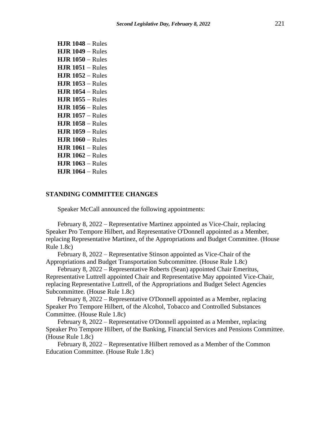| <b>HJR 1048 - Rules</b> |
|-------------------------|
| $HJR$ 1049 – Rules      |
| $HJR$ 1050 – Rules      |
| $HJR$ 1051 – Rules      |
| $HJR$ 1052 – Rules      |
| $HJR$ 1053 – Rules      |
| $HJR$ 1054 – Rules      |
| <b>HJR 1055 – Rules</b> |
| $HJR$ 1056 – Rules      |
| $HJR$ 1057 – Rules      |
| $HJR$ 1058 – Rules      |
| <b>HJR 1059 – Rules</b> |
| $HJR$ 1060 – Rules      |
| <b>HJR 1061 – Rules</b> |
| $HJR$ 1062 – Rules      |
| $HJR$ 1063 – Rules      |
| <b>HJR 1064 –</b> Rules |

#### **STANDING COMMITTEE CHANGES**

Speaker McCall announced the following appointments:

February 8, 2022 – Representative Martinez appointed as Vice-Chair, replacing Speaker Pro Tempore Hilbert, and Representative O'Donnell appointed as a Member, replacing Representative Martinez, of the Appropriations and Budget Committee. (House Rule 1.8c)

February 8, 2022 – Representative Stinson appointed as Vice-Chair of the Appropriations and Budget Transportation Subcommittee. (House Rule 1.8c)

February 8, 2022 – Representative Roberts (Sean) appointed Chair Emeritus, Representative Luttrell appointed Chair and Representative May appointed Vice-Chair, replacing Representative Luttrell, of the Appropriations and Budget Select Agencies Subcommittee. (House Rule 1.8c)

February 8, 2022 – Representative O'Donnell appointed as a Member, replacing Speaker Pro Tempore Hilbert, of the Alcohol, Tobacco and Controlled Substances Committee. (House Rule 1.8c)

February 8, 2022 – Representative O'Donnell appointed as a Member, replacing Speaker Pro Tempore Hilbert, of the Banking, Financial Services and Pensions Committee. (House Rule 1.8c)

February 8, 2022 – Representative Hilbert removed as a Member of the Common Education Committee. (House Rule 1.8c)